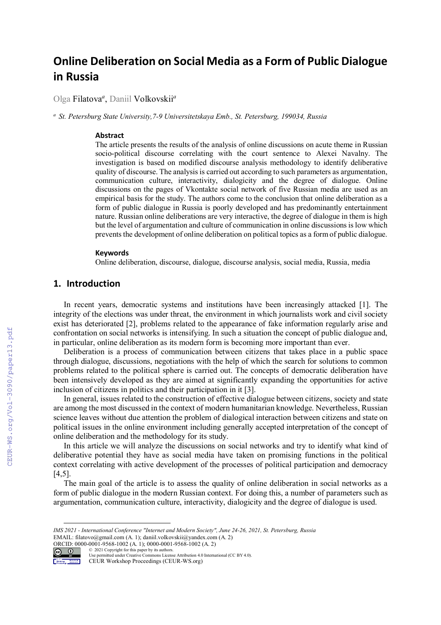# **Online Deliberation on Social Media as a Form of Public Dialogue in Russia**

Olga Filatova*<sup>a</sup>* , Daniil Volkovskii*<sup>a</sup>*

*<sup>a</sup> St. Petersburg State University,7-9 Universitetskaya Emb., St. Petersburg, 199034, Russia* 

#### **Abstract**

The article presents the results of the analysis of online discussions on acute theme in Russian socio-political discourse correlating with the court sentence to Alexei Navalny. The investigation is based on modified discourse analysis methodology to identify deliberative quality of discourse. The analysis is carried out according to such parameters as argumentation, communication culture, interactivity, dialogicity and the degree of dialogue. Online discussions on the pages of Vkontakte social network of five Russian media are used as an empirical basis for the study. The authors come to the conclusion that online deliberation as a form of public dialogue in Russia is poorly developed and has predominantly entertainment nature. Russian online deliberations are very interactive, the degree of dialogue in them is high but the level of argumentation and culture of communication in online discussions is low which prevents the development of online deliberation on political topics as a form of public dialogue.

#### **Keywords**

Online deliberation, discourse, dialogue, discourse analysis, social media, Russia, media

# **1. Introduction**

In recent years, democratic systems and institutions have been increasingly attacked [1]. The integrity of the elections was under threat, the environment in which journalists work and civil society exist has deteriorated [2], problems related to the appearance of fake information regularly arise and confrontation on social networks is intensifying. In such a situation the concept of public dialogue and, in particular, online deliberation as its modern form is becoming more important than ever.

Deliberation is a process of communication between citizens that takes place in a public space through dialogue, discussions, negotiations with the help of which the search for solutions to common problems related to the political sphere is carried out. The concepts of democratic deliberation have been intensively developed as they are aimed at significantly expanding the opportunities for active inclusion of citizens in politics and their participation in it [3].

In general, issues related to the construction of effective dialogue between citizens, society and state are among the most discussed in the context of modern humanitarian knowledge. Nevertheless, Russian science leaves without due attention the problem of dialogical interaction between citizens and state on political issues in the online environment including generally accepted interpretation of the concept of online deliberation and the methodology for its study.

In this article we will analyze the discussions on social networks and try to identify what kind of deliberative potential they have as social media have taken on promising functions in the political context correlating with active development of the processes of political participation and democracy [4,5].

The main goal of the article is to assess the quality of online deliberation in social networks as a form of public dialogue in the modern Russian context. For doing this, a number of parameters such as argumentation, communication culture, interactivity, dialogicity and the degree of dialogue is used.

*IMS 2021 - International Conference "Internet and Modern Society", June 24-26, 2021, St. Petersburg, Russia* EMAIL: filatovo@gmail.com (A. 1); daniil.volkovskii@yandex.com (A. 2) ORCID: 0000-0001-9568-1002 (A. 1); 0000-0001-9568-1002 (A. 2)



<sup>©</sup> 2021 Copyright for this paper by its authors. Use permitted under Creative Commons License Attribution 4.0 International (CC BY 4.0).

CEUR Workshop Proceedings (CEUR-WS.org)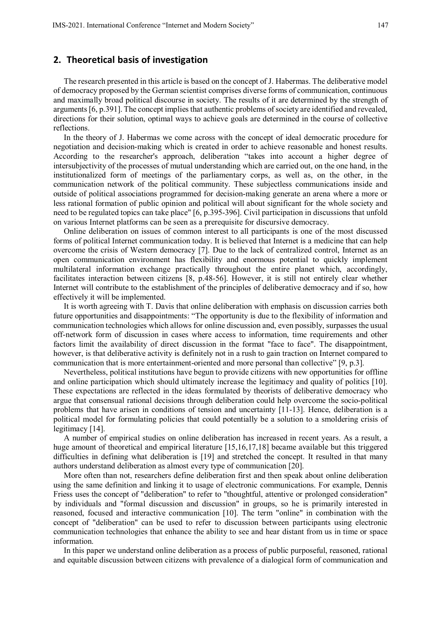### **2. Theoretical basis of investigation**

The research presented in this article is based on the concept of J. Habermas. The deliberative model of democracy proposed by the German scientist comprises diverse forms of communication, continuous and maximally broad political discourse in society. The results of it are determined by the strength of arguments [6, p.391]. The concept implies that authentic problems of society are identified and revealed, directions for their solution, optimal ways to achieve goals are determined in the course of collective reflections.

In the theory of J. Habermas we come across with the concept of ideal democratic procedure for negotiation and decision-making which is created in order to achieve reasonable and honest results. According to the researcher's approach, deliberation "takes into account a higher degree of intersubjectivity of the processes of mutual understanding which are carried out, on the one hand, in the institutionalized form of meetings of the parliamentary corps, as well as, on the other, in the communication network of the political community. These subjectless communications inside and outside of political associations programmed for decision-making generate an arena where a more or less rational formation of public opinion and political will about significant for the whole society and need to be regulated topics can take place" [6, p.395-396]. Civil participation in discussions that unfold on various Internet platforms can be seen as a prerequisite for discursive democracy.

Online deliberation on issues of common interest to all participants is one of the most discussed forms of political Internet communication today. It is believed that Internet is a medicine that can help overcome the crisis of Western democracy [7]. Due to the lack of centralized control, Internet as an open communication environment has flexibility and enormous potential to quickly implement multilateral information exchange practically throughout the entire planet which, accordingly, facilitates interaction between citizens [8, p.48-56]. However, it is still not entirely clear whether Internet will contribute to the establishment of the principles of deliberative democracy and if so, how effectively it will be implemented.

It is worth agreeing with T. Davis that online deliberation with emphasis on discussion carries both future opportunities and disappointments: "The opportunity is due to the flexibility of information and communication technologies which allows for online discussion and, even possibly, surpasses the usual off-network form of discussion in cases where access to information, time requirements and other factors limit the availability of direct discussion in the format "face to face". The disappointment, however, is that deliberative activity is definitely not in a rush to gain traction on Internet compared to communication that is more entertainment-oriented and more personal than collective" [9, p.3].

Nevertheless, political institutions have begun to provide citizens with new opportunities for offline and online participation which should ultimately increase the legitimacy and quality of politics [10]. These expectations are reflected in the ideas formulated by theorists of deliberative democracy who argue that consensual rational decisions through deliberation could help overcome the socio-political problems that have arisen in conditions of tension and uncertainty [11-13]. Hence, deliberation is a political model for formulating policies that could potentially be a solution to a smoldering crisis of legitimacy [14].

A number of empirical studies on online deliberation has increased in recent years. As a result, a huge amount of theoretical and empirical literature [15,16,17,18] became available but this triggered difficulties in defining what deliberation is [19] and stretched the concept. It resulted in that many authors understand deliberation as almost every type of communication [20].

More often than not, researchers define deliberation first and then speak about online deliberation using the same definition and linking it to usage of electronic communications. For example, Dennis Friess uses the concept of "deliberation" to refer to "thoughtful, attentive or prolonged consideration" by individuals and "formal discussion and discussion" in groups, so he is primarily interested in reasoned, focused and interactive communication [10]. The term "online" in combination with the concept of "deliberation" can be used to refer to discussion between participants using electronic communication technologies that enhance the ability to see and hear distant from us in time or space information.

In this paper we understand online deliberation as a process of public purposeful, reasoned, rational and equitable discussion between citizens with prevalence of a dialogical form of communication and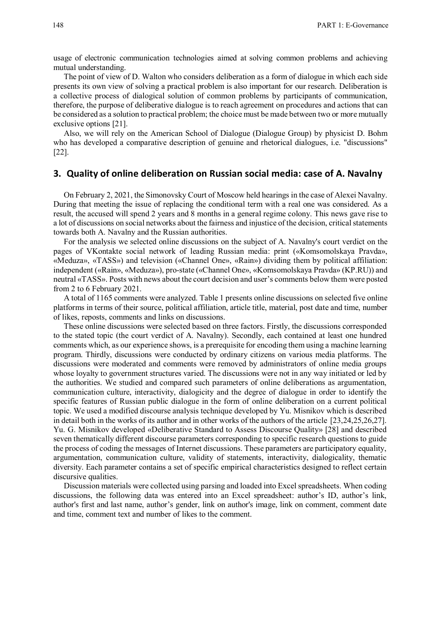usage of electronic communication technologies aimed at solving common problems and achieving mutual understanding.

The point of view of D. Walton who considers deliberation as a form of dialogue in which each side presents its own view of solving a practical problem is also important for our research. Deliberation is a collective process of dialogical solution of common problems by participants of communication, therefore, the purpose of deliberative dialogue is to reach agreement on procedures and actions that can be considered as a solution to practical problem; the choice must be made between two or more mutually exclusive options [21].

Also, we will rely on the American School of Dialogue (Dialogue Group) by physicist D. Bohm who has developed a comparative description of genuine and rhetorical dialogues, i.e. "discussions" [22].

## **3. Quality of online deliberation on Russian social media: case of A. Navalny**

On February 2, 2021, the Simonovsky Court of Moscow held hearings in the case of Alexei Navalny. During that meeting the issue of replacing the conditional term with a real one was considered. As a result, the accused will spend 2 years and 8 months in a general regime colony. This news gave rise to a lot of discussions on social networks about the fairness and injustice of the decision, critical statements towards both A. Navalny and the Russian authorities.

For the analysis we selected online discussions on the subject of A. Navalny's court verdict on the pages of VKontakte social network of leading Russian media: print («Komsomolskaya Pravda», «Meduza», «TASS») and television («Channel One», «Rain») dividing them by political affiliation: independent («Rain», «Meduza»), pro-state («Channel One», «Komsomolskaya Pravda» (KP.RU)) and neutral «TASS». Posts with news about the court decision and user's comments below them were posted from 2 to 6 February 2021.

A total of 1165 comments were analyzed. Table 1 presents online discussions on selected five online platforms in terms of their source, political affiliation, article title, material, post date and time, number of likes, reposts, comments and links on discussions.

These online discussions were selected based on three factors. Firstly, the discussions corresponded to the stated topic (the court verdict of A. Navalny). Secondly, each contained at least one hundred comments which, as our experience shows, is a prerequisite for encoding them using a machine learning program. Thirdly, discussions were conducted by ordinary citizens on various media platforms. The discussions were moderated and comments were removed by administrators of online media groups whose loyalty to government structures varied. The discussions were not in any way initiated or led by the authorities. We studied and compared such parameters of online deliberations as argumentation, communication culture, interactivity, dialogicity and the degree of dialogue in order to identify the specific features of Russian public dialogue in the form of online deliberation on a current political topic. We used a modified discourse analysis technique developed by Yu. Misnikov which is described in detail both in the works of its author and in other works of the authors of the article [23,24,25,26,27]. Yu. G. Misnikov developed «Deliberative Standard to Assess Discourse Quality» [28] and described seven thematically different discourse parameters corresponding to specific research questions to guide the process of coding the messages of Internet discussions. These parameters are participatory equality, argumentation, communication culture, validity of statements, interactivity, dialogicality, thematic diversity. Each parameter contains a set of specific empirical characteristics designed to reflect certain discursive qualities.

Discussion materials were collected using parsing and loaded into Excel spreadsheets. When coding discussions, the following data was entered into an Excel spreadsheet: author's ID, author's link, author's first and last name, author's gender, link on author's image, link on comment, comment date and time, comment text and number of likes to the comment.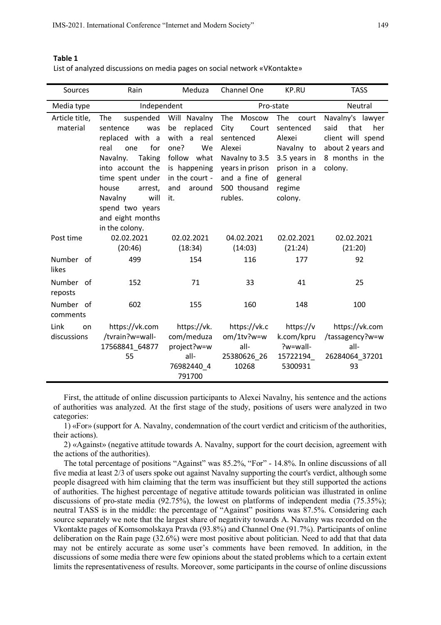#### **Table 1**

| List of analyzed discussions on media pages on social network «VKontakte» |  |  |
|---------------------------------------------------------------------------|--|--|
|---------------------------------------------------------------------------|--|--|

| Sources            | Rain                                          | Meduza                      | Channel One                       | <b>KP.RU</b>                | <b>TASS</b>                |  |
|--------------------|-----------------------------------------------|-----------------------------|-----------------------------------|-----------------------------|----------------------------|--|
| Media type         | Independent                                   |                             | Pro-state                         |                             | Neutral                    |  |
| Article title,     | The<br>suspended                              | Will Navalny                | The<br>Moscow                     | The<br>court                | Navalny's lawyer           |  |
| material           | sentence<br>was                               | replaced<br>be              | City<br>Court                     | sentenced                   | said<br>that<br>her        |  |
|                    | replaced with a                               | with a real                 | sentenced                         | Alexei                      | client will spend          |  |
|                    | for<br>real<br>one                            | one?<br>We                  | Alexei                            | Navalny to                  | about 2 years and          |  |
|                    | Navalny.<br><b>Taking</b><br>into account the | follow what<br>is happening | Navalny to 3.5<br>years in prison | 3.5 years in<br>prison in a | 8 months in the<br>colony. |  |
|                    | time spent under                              | in the court -              | and a fine of                     | general                     |                            |  |
|                    | house<br>arrest.                              | and<br>around               | 500 thousand                      | regime                      |                            |  |
|                    | will<br>Navalny                               | it.                         | rubles.                           | colony.                     |                            |  |
|                    | spend two years                               |                             |                                   |                             |                            |  |
|                    | and eight months                              |                             |                                   |                             |                            |  |
|                    | in the colony.                                |                             |                                   |                             |                            |  |
| Post time          | 02.02.2021                                    | 02.02.2021                  | 04.02.2021                        | 02.02.2021                  | 02.02.2021                 |  |
|                    | (20:46)                                       | (18:34)                     | (14:03)                           | (21:24)                     | (21:20)                    |  |
| Number of<br>likes | 499                                           | 154                         | 116                               | 177                         | 92                         |  |
| Number of          | 152                                           | 71                          | 33                                | 41                          | 25                         |  |
| reposts            |                                               |                             |                                   |                             |                            |  |
| Number of          | 602                                           | 155                         | 160                               | 148                         | 100                        |  |
| comments           |                                               |                             |                                   |                             |                            |  |
| Link<br>on         | https://vk.com                                | https://vk.                 | https://vk.c                      | https://v                   | https://vk.com             |  |
| discussions        | /tvrain?w=wall-                               | com/meduza                  | om/1tv?w=w                        | k.com/kpru                  | /tassagency?w=w            |  |
|                    | 17568841 64877                                | project?w=w                 | all-                              | ?w=wall-                    | all-                       |  |
|                    | 55                                            | all-                        | 25380626_26                       | 15722194                    | 26284064_37201             |  |
|                    |                                               | 76982440 4<br>791700        | 10268                             | 5300931                     | 93                         |  |
|                    |                                               |                             |                                   |                             |                            |  |

First, the attitude of online discussion participants to Alexei Navalny, his sentence and the actions of authorities was analyzed. At the first stage of the study, positions of users were analyzed in two categories:

1) «For» (support for A. Navalny, condemnation of the court verdict and criticism of the authorities, their actions).

2) «Against» (negative attitude towards A. Navalny, support for the court decision, agreement with the actions of the authorities).

The total percentage of positions "Against" was 85.2%, "For" - 14.8%. In online discussions of all five media at least 2/3 of users spoke out against Navalny supporting the court's verdict, although some people disagreed with him claiming that the term was insufficient but they still supported the actions of authorities. The highest percentage of negative attitude towards politician was illustrated in online discussions of pro-state media (92.75%), the lowest on platforms of independent media (75.35%); neutral TASS is in the middle: the percentage of "Against" positions was 87.5%. Considering each source separately we note that the largest share of negativity towards A. Navalny was recorded on the Vkontakte pages of Komsomolskaya Pravda (93.8%) and Channel One (91.7%). Participants of online deliberation on the Rain page (32.6%) were most positive about politician. Need to add that that data may not be entirely accurate as some user's comments have been removed. In addition, in the discussions of some media there were few opinions about the stated problems which to a certain extent limits the representativeness of results. Moreover, some participants in the course of online discussions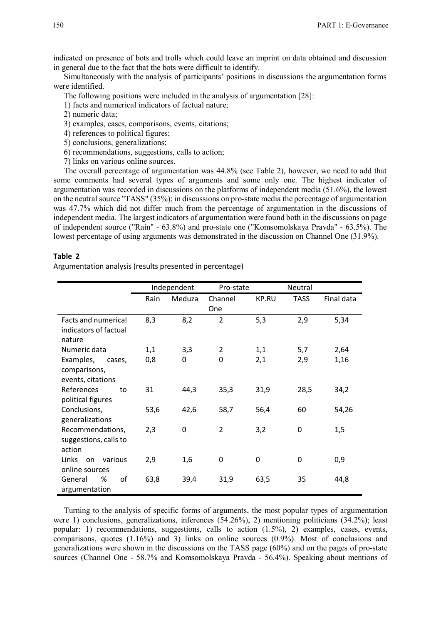indicated on presence of bots and trolls which could leave an imprint on data obtained and discussion in general due to the fact that the bots were difficult to identify.

Simultaneously with the analysis of participants' positions in discussions the argumentation forms were identified.

The following positions were included in the analysis of argumentation [28]:

1) facts and numerical indicators of factual nature;

- 2) numeric data;
- 3) examples, cases, comparisons, events, citations;
- 4) references to political figures;
- 5) conclusions, generalizations;
- 6) recommendations, suggestions, calls to action;
- 7) links on various online sources.

The overall percentage of argumentation was 44.8% (see Table 2), however, we need to add that some comments had several types of arguments and some only one. The highest indicator of argumentation was recorded in discussions on the platforms of independent media (51.6%), the lowest on the neutral source "TASS" (35%); in discussions on pro-state media the percentage of argumentation was 47.7% which did not differ much from the percentage of argumentation in the discussions of independent media. The largest indicators of argumentation were found both in the discussions on page of independent source ("Rain" - 63.8%) and pro-state one ("Komsomolskaya Pravda" - 63.5%). The lowest percentage of using arguments was demonstrated in the discussion on Channel One (31.9%).

#### **Table 2**

Argumentation analysis (results presented in percentage)

|                                                               |      | Independent<br>Pro-state |                |              | Neutral     |            |
|---------------------------------------------------------------|------|--------------------------|----------------|--------------|-------------|------------|
|                                                               | Rain | Meduza                   | Channel<br>One | <b>KP.RU</b> | <b>TASS</b> | Final data |
| <b>Facts and numerical</b><br>indicators of factual<br>nature | 8,3  | 8,2                      | $\overline{2}$ | 5,3          | 2,9         | 5,34       |
| Numeric data                                                  | 1,1  | 3,3                      | 2              | 1,1          | 5,7         | 2,64       |
| Examples,<br>cases,<br>comparisons,<br>events, citations      | 0,8  | 0                        | 0              | 2,1          | 2,9         | 1,16       |
| References<br>to<br>political figures                         | 31   | 44,3                     | 35,3           | 31,9         | 28,5        | 34,2       |
| Conclusions,<br>generalizations                               | 53,6 | 42,6                     | 58,7           | 56,4         | 60          | 54,26      |
| Recommendations,<br>suggestions, calls to<br>action           | 2,3  | 0                        | $\overline{2}$ | 3,2          | 0           | 1,5        |
| Links<br>various<br>on<br>online sources                      | 2,9  | 1,6                      | 0              | 0            | 0           | 0,9        |
| οf<br>General<br>%<br>argumentation                           | 63,8 | 39,4                     | 31,9           | 63,5         | 35          | 44,8       |

Turning to the analysis of specific forms of arguments, the most popular types of argumentation were 1) conclusions, generalizations, inferences (54.26%), 2) mentioning politicians (34.2%); least popular: 1) recommendations, suggestions, calls to action (1.5%), 2) examples, cases, events, comparisons, quotes (1.16%) and 3) links on online sources (0.9%). Most of conclusions and generalizations were shown in the discussions on the TASS page (60%) and on the pages of pro-state sources (Channel One - 58.7% and Komsomolskaya Pravda - 56.4%). Speaking about mentions of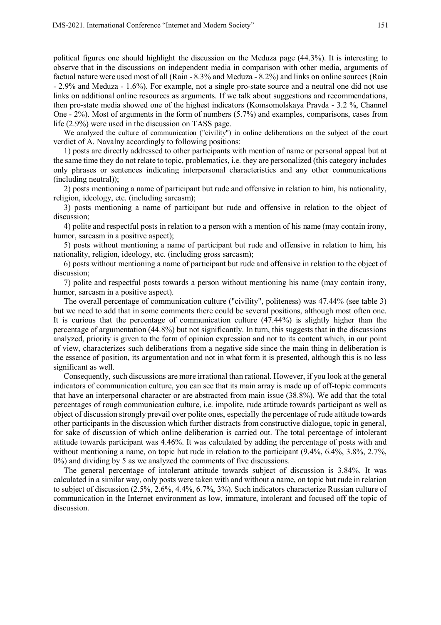political figures one should highlight the discussion on the Meduza page (44.3%). It is interesting to observe that in the discussions on independent media in comparison with other media, arguments of factual nature were used most of all (Rain - 8.3% and Meduza - 8.2%) and links on online sources (Rain - 2.9% and Meduza - 1.6%). For example, not a single pro-state source and a neutral one did not use links on additional online resources as arguments. If we talk about suggestions and recommendations, then pro-state media showed one of the highest indicators (Komsomolskaya Pravda - 3.2 %, Channel One - 2%). Most of arguments in the form of numbers (5.7%) and examples, comparisons, cases from life (2.9%) were used in the discussion on TASS page.

We analyzed the culture of communication ("civility") in online deliberations on the subject of the court verdict of A. Navalny accordingly to following positions:

1) posts are directly addressed to other participants with mention of name or personal appeal but at the same time they do not relate to topic, problematics, i.e. they are personalized (this category includes only phrases or sentences indicating interpersonal characteristics and any other communications (including neutral));

2) posts mentioning a name of participant but rude and offensive in relation to him, his nationality, religion, ideology, etc. (including sarcasm);

3) posts mentioning a name of participant but rude and offensive in relation to the object of discussion;

4) polite and respectful posts in relation to a person with a mention of his name (may contain irony, humor, sarcasm in a positive aspect);

5) posts without mentioning a name of participant but rude and offensive in relation to him, his nationality, religion, ideology, etc. (including gross sarcasm);

6) posts without mentioning a name of participant but rude and offensive in relation to the object of discussion;

7) polite and respectful posts towards a person without mentioning his name (may contain irony, humor, sarcasm in a positive aspect).

The overall percentage of communication culture ("civility", politeness) was 47.44% (see table 3) but we need to add that in some comments there could be several positions, although most often one. It is curious that the percentage of communication culture (47.44%) is slightly higher than the percentage of argumentation (44.8%) but not significantly. In turn, this suggests that in the discussions analyzed, priority is given to the form of opinion expression and not to its content which, in our point of view, characterizes such deliberations from a negative side since the main thing in deliberation is the essence of position, its argumentation and not in what form it is presented, although this is no less significant as well.

Consequently, such discussions are more irrational than rational. However, if you look at the general indicators of communication culture, you can see that its main array is made up of off-topic comments that have an interpersonal character or are abstracted from main issue (38.8%). We add that the total percentages of rough communication culture, i.e. impolite, rude attitude towards participant as well as object of discussion strongly prevail over polite ones, especially the percentage of rude attitude towards other participants in the discussion which further distracts from constructive dialogue, topic in general, for sake of discussion of which online deliberation is carried out. The total percentage of intolerant attitude towards participant was 4.46%. It was calculated by adding the percentage of posts with and without mentioning a name, on topic but rude in relation to the participant (9.4%, 6.4%, 3.8%, 2.7%, 0%) and dividing by 5 as we analyzed the comments of five discussions.

The general percentage of intolerant attitude towards subject of discussion is 3.84%. It was calculated in a similar way, only posts were taken with and without a name, on topic but rude in relation to subject of discussion (2.5%, 2.6%, 4.4%, 6.7%, 3%). Such indicators characterize Russian culture of communication in the Internet environment as low, immature, intolerant and focused off the topic of discussion.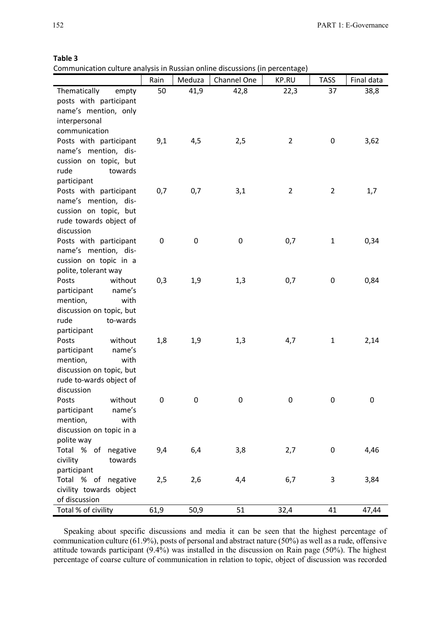#### **Table 3**

Communication culture analysis in Russian online discussions (in percentage)

|                            | Rain | Meduza | Channel One | KP.RU          | <b>TASS</b>    | Final data |
|----------------------------|------|--------|-------------|----------------|----------------|------------|
| Thematically<br>empty      | 50   | 41,9   | 42,8        | 22,3           | 37             | 38,8       |
| posts with participant     |      |        |             |                |                |            |
| name's mention, only       |      |        |             |                |                |            |
| interpersonal              |      |        |             |                |                |            |
| communication              |      |        |             |                |                |            |
| Posts with participant     | 9,1  | 4,5    | 2,5         | $\overline{2}$ | $\mathbf 0$    | 3,62       |
| name's mention, dis-       |      |        |             |                |                |            |
| cussion on topic, but      |      |        |             |                |                |            |
| rude<br>towards            |      |        |             |                |                |            |
| participant                |      |        |             |                |                |            |
| Posts with participant     | 0,7  | 0,7    | 3,1         | $\overline{2}$ | $\overline{2}$ | 1,7        |
| name's mention, dis-       |      |        |             |                |                |            |
| cussion on topic, but      |      |        |             |                |                |            |
| rude towards object of     |      |        |             |                |                |            |
| discussion                 |      |        |             |                |                |            |
| Posts with participant     | 0    | 0      | 0           | 0,7            | $\mathbf 1$    | 0,34       |
| name's mention, dis-       |      |        |             |                |                |            |
| cussion on topic in a      |      |        |             |                |                |            |
| polite, tolerant way       |      |        |             |                |                |            |
| without<br>Posts           | 0,3  | 1,9    | 1,3         | 0,7            | $\mathbf 0$    | 0,84       |
| participant<br>name's      |      |        |             |                |                |            |
| mention,<br>with           |      |        |             |                |                |            |
| discussion on topic, but   |      |        |             |                |                |            |
| rude<br>to-wards           |      |        |             |                |                |            |
| participant                |      |        |             |                |                |            |
| Posts<br>without           | 1,8  | 1,9    | 1,3         | 4,7            | $\mathbf{1}$   | 2,14       |
| name's<br>participant      |      |        |             |                |                |            |
| mention,<br>with           |      |        |             |                |                |            |
| discussion on topic, but   |      |        |             |                |                |            |
| rude to-wards object of    |      |        |             |                |                |            |
| discussion                 |      |        |             |                |                |            |
| without                    | 0    | 0      | 0           | 0              | $\mathbf 0$    | 0          |
| Posts<br>participant       |      |        |             |                |                |            |
| name's<br>with<br>mention, |      |        |             |                |                |            |
|                            |      |        |             |                |                |            |
| discussion on topic in a   |      |        |             |                |                |            |
| polite way                 |      |        |             |                |                |            |
| Total % of<br>negative     | 9,4  | 6,4    | 3,8         | 2,7            | $\pmb{0}$      | 4,46       |
| civility<br>towards        |      |        |             |                |                |            |
| participant                |      |        |             |                |                |            |
| Total % of negative        | 2,5  | 2,6    | 4,4         | 6,7            | 3              | 3,84       |
| civility towards object    |      |        |             |                |                |            |
| of discussion              |      |        |             |                |                |            |
| Total % of civility        | 61,9 | 50,9   | 51          | 32,4           | 41             | 47,44      |

Speaking about specific discussions and media it can be seen that the highest percentage of communication culture (61.9%), posts of personal and abstract nature (50%) as well as a rude, offensive attitude towards participant  $(9.4\%)$  was installed in the discussion on Rain page (50%). The highest percentage of coarse culture of communication in relation to topic, object of discussion was recorded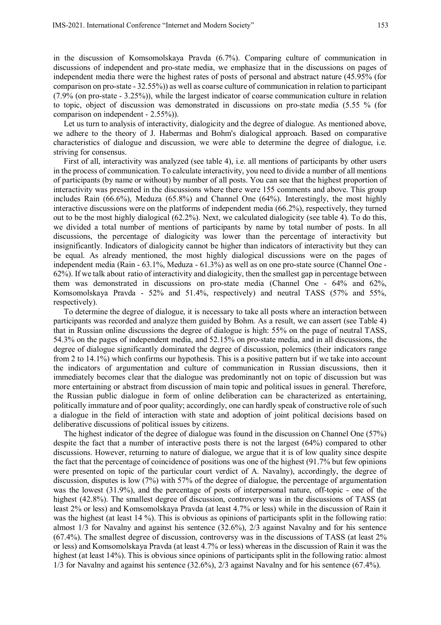in the discussion of Komsomolskaya Pravda (6.7%). Comparing culture of communication in discussions of independent and pro-state media, we emphasize that in the discussions on pages of independent media there were the highest rates of posts of personal and abstract nature (45.95% (for comparison on pro-state - 32.55%)) as well as coarse culture of communication in relation to participant (7.9% (on pro-state - 3.25%)), while the largest indicator of coarse communication culture in relation to topic, object of discussion was demonstrated in discussions on pro-state media (5.55 % (for comparison on independent - 2.55%)).

Let us turn to analysis of interactivity, dialogicity and the degree of dialogue. As mentioned above, we adhere to the theory of J. Habermas and Bohm's dialogical approach. Based on comparative characteristics of dialogue and discussion, we were able to determine the degree of dialogue, i.e. striving for consensus.

First of all, interactivity was analyzed (see table 4), i.e. all mentions of participants by other users in the process of communication. To calculate interactivity, you need to divide a number of all mentions of participants (by name or without) by number of all posts. You can see that the highest proportion of interactivity was presented in the discussions where there were 155 comments and above. This group includes Rain (66.6%), Meduza (65.8%) and Channel One (64%). Interestingly, the most highly interactive discussions were on the platforms of independent media (66.2%), respectively, they turned out to be the most highly dialogical (62.2%). Next, we calculated dialogicity (see table 4). To do this, we divided a total number of mentions of participants by name by total number of posts. In all discussions, the percentage of dialogicity was lower than the percentage of interactivity but insignificantly. Indicators of dialogicity cannot be higher than indicators of interactivity but they can be equal. As already mentioned, the most highly dialogical discussions were on the pages of independent media (Rain - 63.1%, Meduza - 61.3%) as well as on one pro-state source (Channel One - 62%). If we talk about ratio of interactivity and dialogicity, then the smallest gap in percentage between them was demonstrated in discussions on pro-state media (Channel One - 64% and 62%, Komsomolskaya Pravda - 52% and 51.4%, respectively) and neutral TASS (57% and 55%, respectively).

To determine the degree of dialogue, it is necessary to take all posts where an interaction between participants was recorded and analyze them guided by Bohm. As a result, we can assert (see Table 4) that in Russian online discussions the degree of dialogue is high: 55% on the page of neutral TASS, 54.3% on the pages of independent media, and 52.15% on pro-state media, and in all discussions, the degree of dialogue significantly dominated the degree of discussion, polemics (their indicators range from 2 to 14.1%) which confirms our hypothesis. This is a positive pattern but if we take into account the indicators of argumentation and culture of communication in Russian discussions, then it immediately becomes clear that the dialogue was predominantly not on topic of discussion but was more entertaining or abstract from discussion of main topic and political issues in general. Therefore, the Russian public dialogue in form of online deliberation can be characterized as entertaining, politically immature and of poor quality; accordingly, one can hardly speak of constructive role of such a dialogue in the field of interaction with state and adoption of joint political decisions based on deliberative discussions of political issues by citizens.

The highest indicator of the degree of dialogue was found in the discussion on Channel One (57%) despite the fact that a number of interactive posts there is not the largest (64%) compared to other discussions. However, returning to nature of dialogue, we argue that it is of low quality since despite the fact that the percentage of coincidence of positions was one of the highest (91.7% but few opinions were presented on topic of the particular court verdict of A. Navalny), accordingly, the degree of discussion, disputes is low (7%) with 57% of the degree of dialogue, the percentage of argumentation was the lowest (31.9%), and the percentage of posts of interpersonal nature, off-topic - one of the highest (42.8%). The smallest degree of discussion, controversy was in the discussions of TASS (at least 2% or less) and Komsomolskaya Pravda (at least 4.7% or less) while in the discussion of Rain it was the highest (at least 14 %). This is obvious as opinions of participants split in the following ratio: almost 1/3 for Navalny and against his sentence (32.6%), 2/3 against Navalny and for his sentence (67.4%). The smallest degree of discussion, controversy was in the discussions of TASS (at least 2% or less) and Komsomolskaya Pravda (at least 4.7% or less) whereas in the discussion of Rain it was the highest (at least 14%). This is obvious since opinions of participants split in the following ratio: almost 1/3 for Navalny and against his sentence (32.6%), 2/3 against Navalny and for his sentence (67.4%).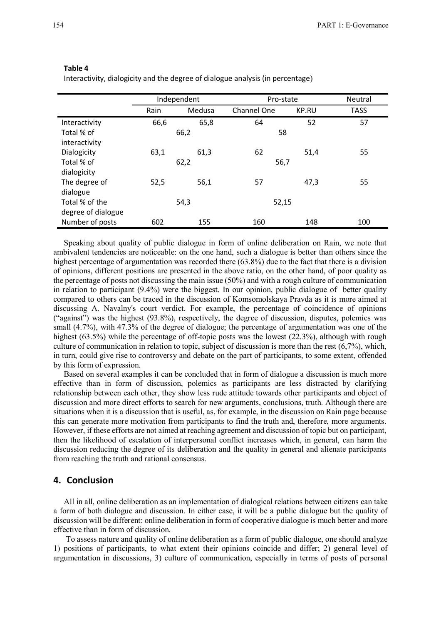| н<br>0<br>ı<br>×<br>정도 시<br>×<br>٠ | ۰,<br>× |
|------------------------------------|---------|
|------------------------------------|---------|

Interactivity, dialogicity and the degree of dialogue analysis (in percentage)

|                    | Independent |        | Pro-state   |              | Neutral     |
|--------------------|-------------|--------|-------------|--------------|-------------|
|                    | Rain        | Medusa | Channel One | <b>KP.RU</b> | <b>TASS</b> |
| Interactivity      | 66,6        | 65,8   | 64          | 52           | 57          |
| Total % of         | 66,2        |        | 58          |              |             |
| interactivity      |             |        |             |              |             |
| Dialogicity        | 63,1        | 61,3   | 62          | 51,4         | 55          |
| Total % of         | 62,2        |        | 56,7        |              |             |
| dialogicity        |             |        |             |              |             |
| The degree of      | 52,5        | 56,1   | 57          | 47,3         | 55          |
| dialogue           |             |        |             |              |             |
| Total % of the     |             | 54,3   | 52,15       |              |             |
| degree of dialogue |             |        |             |              |             |
| Number of posts    | 602         | 155    | 160         | 148          | 100         |

Speaking about quality of public dialogue in form of online deliberation on Rain, we note that ambivalent tendencies are noticeable: on the one hand, such a dialogue is better than others since the highest percentage of argumentation was recorded there (63.8%) due to the fact that there is a division of opinions, different positions are presented in the above ratio, on the other hand, of poor quality as the percentage of posts not discussing the main issue (50%) and with a rough culture of communication in relation to participant (9.4%) were the biggest. In our opinion, public dialogue of better quality compared to others can be traced in the discussion of Komsomolskaya Pravda as it is more aimed at discussing A. Navalny's court verdict. For example, the percentage of coincidence of opinions ("against") was the highest (93.8%), respectively, the degree of discussion, disputes, polemics was small (4.7%), with 47.3% of the degree of dialogue; the percentage of argumentation was one of the highest (63.5%) while the percentage of off-topic posts was the lowest (22.3%), although with rough culture of communication in relation to topic, subject of discussion is more than the rest (6,7%), which, in turn, could give rise to controversy and debate on the part of participants, to some extent, offended by this form of expression.

Based on several examples it can be concluded that in form of dialogue a discussion is much more effective than in form of discussion, polemics as participants are less distracted by clarifying relationship between each other, they show less rude attitude towards other participants and object of discussion and more direct efforts to search for new arguments, conclusions, truth. Although there are situations when it is a discussion that is useful, as, for example, in the discussion on Rain page because this can generate more motivation from participants to find the truth and, therefore, more arguments. However, if these efforts are not aimed at reaching agreement and discussion of topic but on participant, then the likelihood of escalation of interpersonal conflict increases which, in general, can harm the discussion reducing the degree of its deliberation and the quality in general and alienate participants from reaching the truth and rational consensus.

## **4. Conclusion**

All in all, online deliberation as an implementation of dialogical relations between citizens can take a form of both dialogue and discussion. In either case, it will be a public dialogue but the quality of discussion will be different: online deliberation in form of cooperative dialogue is much better and more effective than in form of discussion.

 To assess nature and quality of online deliberation as a form of public dialogue, one should analyze 1) positions of participants, to what extent their opinions coincide and differ; 2) general level of argumentation in discussions, 3) culture of communication, especially in terms of posts of personal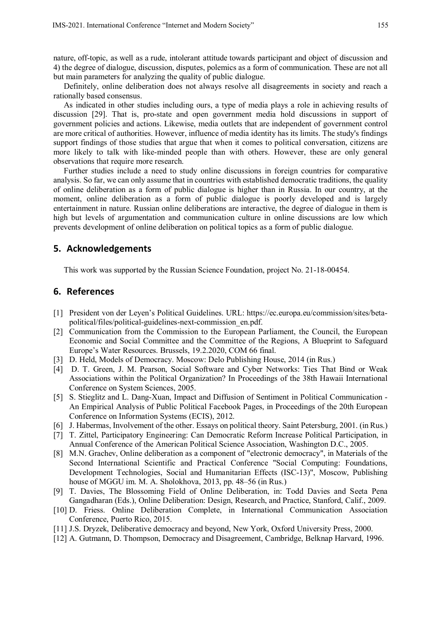nature, off-topic, as well as a rude, intolerant attitude towards participant and object of discussion and 4) the degree of dialogue, discussion, disputes, polemics as a form of communication. These are not all but main parameters for analyzing the quality of public dialogue.

Definitely, online deliberation does not always resolve all disagreements in society and reach a rationally based consensus.

As indicated in other studies including ours, a type of media plays a role in achieving results of discussion [29]. That is, pro-state and open government media hold discussions in support of government policies and actions. Likewise, media outlets that are independent of government control are more critical of authorities. However, influence of media identity has its limits. The study's findings support findings of those studies that argue that when it comes to political conversation, citizens are more likely to talk with like-minded people than with others. However, these are only general observations that require more research.

Further studies include a need to study online discussions in foreign countries for comparative analysis. So far, we can only assume that in countries with established democratic traditions, the quality of online deliberation as a form of public dialogue is higher than in Russia. In our country, at the moment, online deliberation as a form of public dialogue is poorly developed and is largely entertainment in nature. Russian online deliberations are interactive, the degree of dialogue in them is high but levels of argumentation and communication culture in online discussions are low which prevents development of online deliberation on political topics as a form of public dialogue.

# **5. Acknowledgements**

This work was supported by the Russian Science Foundation, project No. 21-18-00454.

## **6. References**

- [1] President von der Leyen's Political Guidelines. URL: https://ec.europa.eu/commission/sites/betapolitical/files/political-guidelines-next-commission\_en.pdf.
- [2] Communication from the Commission to the European Parliament, the Council, the European Economic and Social Committee and the Committee of the Regions, A Blueprint to Safeguard Europe's Water Resources. Brussels, 19.2.2020, COM 66 final.
- [3] D. Held, Models of Democracy. Moscow: Delo Publishing House, 2014 (in Rus.)
- [4] D. T. Green, J. M. Pearson, Social Software and Cyber Networks: Ties That Bind or Weak Associations within the Political Organization? In Proceedings of the 38th Hawaii International Conference on System Sciences, 2005.
- [5] S. Stieglitz and L. Dang-Xuan, Impact and Diffusion of Sentiment in Political Communication An Empirical Analysis of Public Political Facebook Pages, in Proceedings of the 20th European Conference on Information Systems (ECIS), 2012.
- [6] J. Habermas, Involvement of the other. Essays on political theory. Saint Petersburg, 2001. (in Rus.)
- [7] T. Zittel, Participatory Engineering: Can Democratic Reform Increase Political Participation, in Annual Conference of the American Political Science Association, Washington D.C., 2005.
- [8] M.N. Grachev, Online deliberation as a component of "electronic democracy", in Materials of the Second International Scientific and Practical Conference "Social Computing: Foundations, Development Technologies, Social and Humanitarian Effects (ISC-13)", Moscow, Publishing house of MGGU im. M. A. Sholokhova, 2013, pp. 48–56 (in Rus.)
- [9] T. Davies, The Blossoming Field of Online Deliberation, in: Todd Davies and Seeta Pena Gangadharan (Eds.), Online Deliberation: Design, Research, and Practice, Stanford, Calif., 2009.
- [10] D. Friess. Online Deliberation Complete, in International Communication Association Conference, Puerto Rico, 2015.
- [11] J.S. Dryzek, Deliberative democracy and beyond, New York, Oxford University Press, 2000.
- [12] A. Gutmann, D. Thompson, Democracy and Disagreement, Cambridge, Belknap Harvard, 1996.